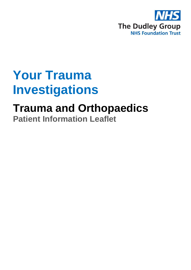

# **Your Trauma Investigations**

## **Trauma and Orthopaedics Patient Information Leaflet**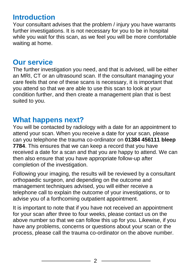## **Introduction**

Your consultant advises that the problem / injury you have warrants further investigations. It is not necessary for you to be in hospital while you wait for this scan, as we feel you will be more comfortable waiting at home.

#### **Our service**

The further investigation you need, and that is advised, will be either an MRI, CT or an ultrasound scan. If the consultant managing your care feels that one of these scans is necessary, it is important that you attend so that we are able to use this scan to look at your condition further, and then create a management plan that is best suited to you.

### **What happens next?**

You will be contacted by radiology with a date for an appointment to attend your scan. When you receive a date for your scan, please can you telephone the trauma co-ordinator on **01384 456111 bleep 7784**. This ensures that we can keep a record that you have received a date for a scan and that you are happy to attend. We can then also ensure that you have appropriate follow-up after completion of the investigation.

Following your imaging, the results will be reviewed by a consultant orthopaedic surgeon, and depending on the outcome and management techniques advised, you will either receive a telephone call to explain the outcome of your investigations, or to advise you of a forthcoming outpatient appointment.

It is important to note that if you have not received an appointment for your scan after three to four weeks, please contact us on the above number so that we can follow this up for you. Likewise, if you have any problems, concerns or questions about your scan or the process, please call the trauma co-ordinator on the above number.